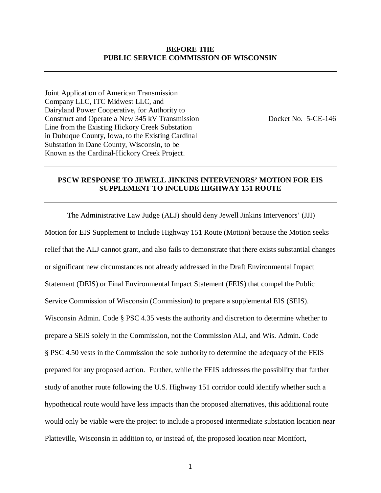#### **BEFORE THE PUBLIC SERVICE COMMISSION OF WISCONSIN**

Joint Application of American Transmission Company LLC, ITC Midwest LLC, and Dairyland Power Cooperative, for Authority to Construct and Operate a New 345 kV Transmission Docket No. 5-CE-146 Line from the Existing Hickory Creek Substation in Dubuque County, Iowa, to the Existing Cardinal Substation in Dane County, Wisconsin, to be Known as the Cardinal-Hickory Creek Project.

#### **PSCW RESPONSE TO JEWELL JINKINS INTERVENORS' MOTION FOR EIS SUPPLEMENT TO INCLUDE HIGHWAY 151 ROUTE**

The Administrative Law Judge (ALJ) should deny Jewell Jinkins Intervenors' (JJI) Motion for EIS Supplement to Include Highway 151 Route (Motion) because the Motion seeks relief that the ALJ cannot grant, and also fails to demonstrate that there exists substantial changes or significant new circumstances not already addressed in the Draft Environmental Impact Statement (DEIS) or Final Environmental Impact Statement (FEIS) that compel the Public Service Commission of Wisconsin (Commission) to prepare a supplemental EIS (SEIS). Wisconsin Admin. Code § PSC 4.35 vests the authority and discretion to determine whether to prepare a SEIS solely in the Commission, not the Commission ALJ, and Wis. Admin. Code § PSC 4.50 vests in the Commission the sole authority to determine the adequacy of the FEIS prepared for any proposed action. Further, while the FEIS addresses the possibility that further study of another route following the U.S. Highway 151 corridor could identify whether such a hypothetical route would have less impacts than the proposed alternatives, this additional route would only be viable were the project to include a proposed intermediate substation location near Platteville, Wisconsin in addition to, or instead of, the proposed location near Montfort,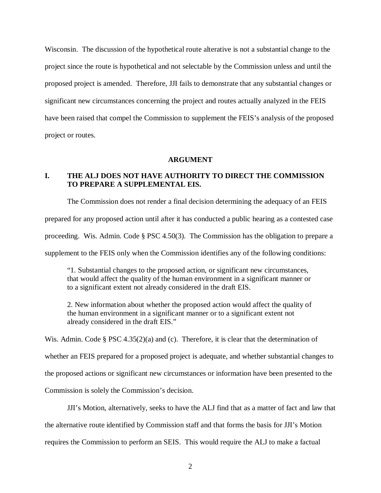Wisconsin. The discussion of the hypothetical route alterative is not a substantial change to the project since the route is hypothetical and not selectable by the Commission unless and until the proposed project is amended. Therefore, JJI fails to demonstrate that any substantial changes or significant new circumstances concerning the project and routes actually analyzed in the FEIS have been raised that compel the Commission to supplement the FEIS's analysis of the proposed project or routes.

#### **ARGUMENT**

## **I. THE ALJ DOES NOT HAVE AUTHORITY TO DIRECT THE COMMISSION TO PREPARE A SUPPLEMENTAL EIS.**

The Commission does not render a final decision determining the adequacy of an FEIS

prepared for any proposed action until after it has conducted a public hearing as a contested case

proceeding. Wis. Admin. Code § PSC 4.50(3). The Commission has the obligation to prepare a

supplement to the FEIS only when the Commission identifies any of the following conditions:

"1. Substantial changes to the proposed action, or significant new circumstances, that would affect the quality of the human environment in a significant manner or to a significant extent not already considered in the draft EIS.

2. New information about whether the proposed action would affect the quality of the human environment in a significant manner or to a significant extent not already considered in the draft EIS."

Wis. Admin. Code § PSC 4.35(2)(a) and (c). Therefore, it is clear that the determination of whether an FEIS prepared for a proposed project is adequate, and whether substantial changes to the proposed actions or significant new circumstances or information have been presented to the Commission is solely the Commission's decision.

JJI's Motion, alternatively, seeks to have the ALJ find that as a matter of fact and law that the alternative route identified by Commission staff and that forms the basis for JJI's Motion requires the Commission to perform an SEIS. This would require the ALJ to make a factual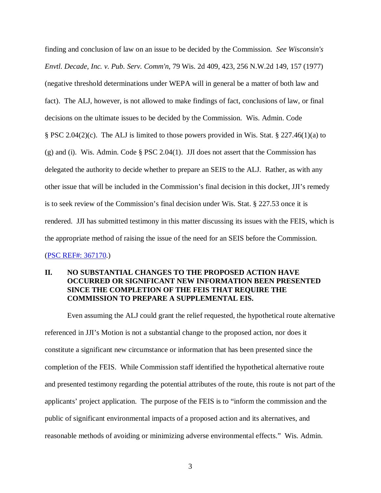finding and conclusion of law on an issue to be decided by the Commission. *See Wisconsin's Envtl. Decade, Inc. v. Pub. Serv. Comm'n*, 79 Wis. 2d 409, 423, 256 N.W.2d 149, 157 (1977) (negative threshold determinations under WEPA will in general be a matter of both law and fact). The ALJ, however, is not allowed to make findings of fact, conclusions of law, or final decisions on the ultimate issues to be decided by the Commission. Wis. Admin. Code § PSC 2.04(2)(c). The ALJ is limited to those powers provided in Wis. Stat. § 227.46(1)(a) to (g) and (i). Wis. Admin. Code  $\S$  PSC 2.04(1). JJI does not assert that the Commission has delegated the authority to decide whether to prepare an SEIS to the ALJ. Rather, as with any other issue that will be included in the Commission's final decision in this docket, JJI's remedy is to seek review of the Commission's final decision under Wis. Stat. § 227.53 once it is rendered. JJI has submitted testimony in this matter discussing its issues with the FEIS, which is the appropriate method of raising the issue of the need for an SEIS before the Commission. [\(PSC REF#: 367170.](http://apps.psc.wi.gov/pages/viewdoc.htm?docid=%20367170))

# **II. NO SUBSTANTIAL CHANGES TO THE PROPOSED ACTION HAVE OCCURRED OR SIGNIFICANT NEW INFORMATION BEEN PRESENTED SINCE THE COMPLETION OF THE FEIS THAT REQUIRE THE COMMISSION TO PREPARE A SUPPLEMENTAL EIS.**

Even assuming the ALJ could grant the relief requested, the hypothetical route alternative referenced in JJI's Motion is not a substantial change to the proposed action, nor does it constitute a significant new circumstance or information that has been presented since the completion of the FEIS. While Commission staff identified the hypothetical alternative route and presented testimony regarding the potential attributes of the route, this route is not part of the applicants' project application. The purpose of the FEIS is to "inform the commission and the public of significant environmental impacts of a proposed action and its alternatives, and reasonable methods of avoiding or minimizing adverse environmental effects." Wis. Admin.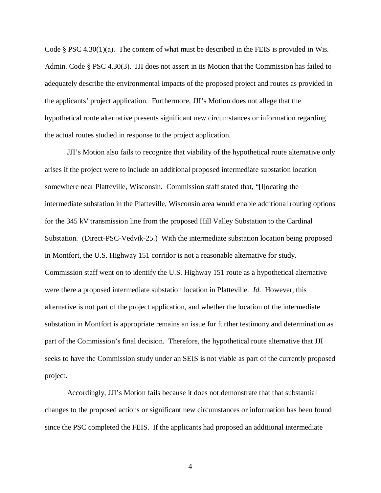Code § PSC 4.30(1)(a). The content of what must be described in the FEIS is provided in Wis. Admin. Code § PSC 4.30(3). JJI does not assert in its Motion that the Commission has failed to adequately describe the environmental impacts of the proposed project and routes as provided in the applicants' project application. Furthermore, JJI's Motion does not allege that the hypothetical route alternative presents significant new circumstances or information regarding the actual routes studied in response to the project application.

JJI's Motion also fails to recognize that viability of the hypothetical route alternative only arises if the project were to include an additional proposed intermediate substation location somewhere near Platteville, Wisconsin. Commission staff stated that, "[l]ocating the intermediate substation in the Platteville, Wisconsin area would enable additional routing options for the 345 kV transmission line from the proposed Hill Valley Substation to the Cardinal Substation. (Direct-PSC-Vedvik-25.) With the intermediate substation location being proposed in Montfort, the U.S. Highway 151 corridor is not a reasonable alternative for study. Commission staff went on to identify the U.S. Highway 151 route as a hypothetical alternative were there a proposed intermediate substation location in Platteville. *Id.* However, this alternative is not part of the project application, and whether the location of the intermediate substation in Montfort is appropriate remains an issue for further testimony and determination as part of the Commission's final decision. Therefore, the hypothetical route alternative that JJI seeks to have the Commission study under an SEIS is not viable as part of the currently proposed project.

Accordingly, JJI's Motion fails because it does not demonstrate that that substantial changes to the proposed actions or significant new circumstances or information has been found since the PSC completed the FEIS. If the applicants had proposed an additional intermediate

4